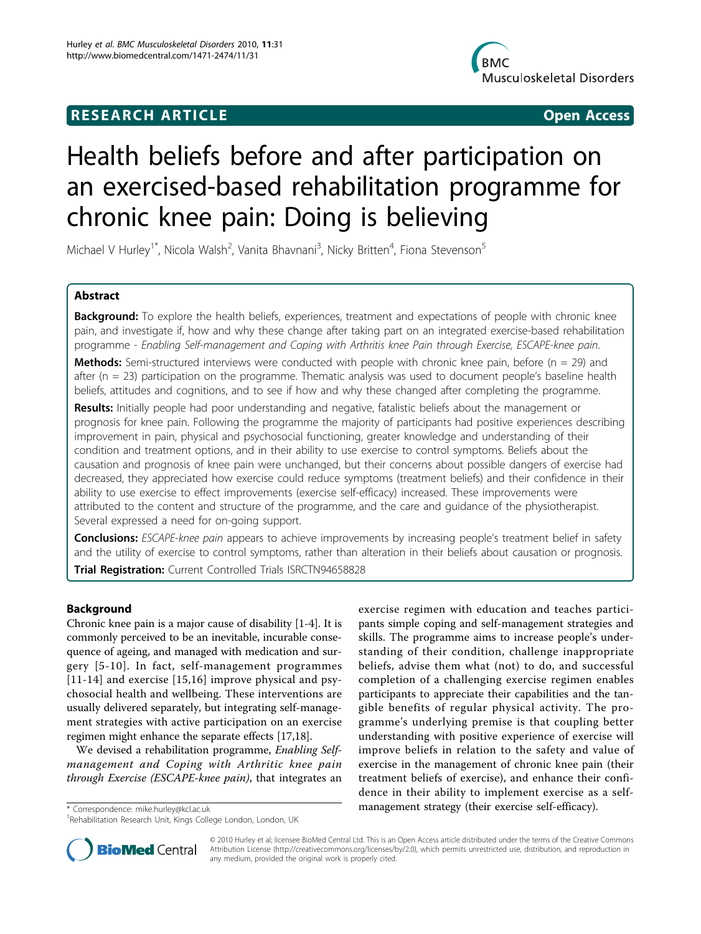## **RESEARCH ARTICLE Example 2018 CONSIDERING ACCESS**



# Health beliefs before and after participation on an exercised-based rehabilitation programme for chronic knee pain: Doing is believing

Michael V Hurley<sup>1\*</sup>, Nicola Walsh<sup>2</sup>, Vanita Bhavnani<sup>3</sup>, Nicky Britten<sup>4</sup>, Fiona Stevenson<sup>5</sup>

## Abstract

Background: To explore the health beliefs, experiences, treatment and expectations of people with chronic knee pain, and investigate if, how and why these change after taking part on an integrated exercise-based rehabilitation programme - Enabling Self-management and Coping with Arthritis knee Pain through Exercise, ESCAPE-knee pain.

**Methods:** Semi-structured interviews were conducted with people with chronic knee pain, before ( $n = 29$ ) and after (n = 23) participation on the programme. Thematic analysis was used to document people's baseline health beliefs, attitudes and cognitions, and to see if how and why these changed after completing the programme.

Results: Initially people had poor understanding and negative, fatalistic beliefs about the management or prognosis for knee pain. Following the programme the majority of participants had positive experiences describing improvement in pain, physical and psychosocial functioning, greater knowledge and understanding of their condition and treatment options, and in their ability to use exercise to control symptoms. Beliefs about the causation and prognosis of knee pain were unchanged, but their concerns about possible dangers of exercise had decreased, they appreciated how exercise could reduce symptoms (treatment beliefs) and their confidence in their ability to use exercise to effect improvements (exercise self-efficacy) increased. These improvements were attributed to the content and structure of the programme, and the care and guidance of the physiotherapist. Several expressed a need for on-going support.

**Conclusions:** ESCAPE-knee pain appears to achieve improvements by increasing people's treatment belief in safety and the utility of exercise to control symptoms, rather than alteration in their beliefs about causation or prognosis.

Trial Registration: Current Controlled Trials ISRCTN94658828

## Background

Chronic knee pain is a major cause of disability [[1-4](#page-10-0)]. It is commonly perceived to be an inevitable, incurable consequence of ageing, and managed with medication and surgery [[5-10](#page-10-0)]. In fact, self-management programmes [[11](#page-10-0)-[14](#page-10-0)] and exercise [[15,16\]](#page-10-0) improve physical and psychosocial health and wellbeing. These interventions are usually delivered separately, but integrating self-management strategies with active participation on an exercise regimen might enhance the separate effects [[17,18](#page-10-0)].

We devised a rehabilitation programme, Enabling Selfmanagement and Coping with Arthritic knee pain through Exercise (ESCAPE-knee pain), that integrates an

exercise regimen with education and teaches participants simple coping and self-management strategies and skills. The programme aims to increase people's understanding of their condition, challenge inappropriate beliefs, advise them what (not) to do, and successful completion of a challenging exercise regimen enables participants to appreciate their capabilities and the tangible benefits of regular physical activity. The programme's underlying premise is that coupling better understanding with positive experience of exercise will improve beliefs in relation to the safety and value of exercise in the management of chronic knee pain (their treatment beliefs of exercise), and enhance their confidence in their ability to implement exercise as a self\* Correspondence: [mike.hurley@kcl.ac.uk](mailto:mike.hurley@kcl.ac.uk) management strategy (their exercise self-efficacy).



© 2010 Hurley et al; licensee BioMed Central Ltd. This is an Open Access article distributed under the terms of the Creative Commons Attribution License [\(http://creativecommons.org/licenses/by/2.0](http://creativecommons.org/licenses/by/2.0)), which permits unrestricted use, distribution, and reproduction in any medium, provided the original work is properly cited.

<sup>&</sup>lt;sup>1</sup> Rehabilitation Research Unit, Kings College London, London, UK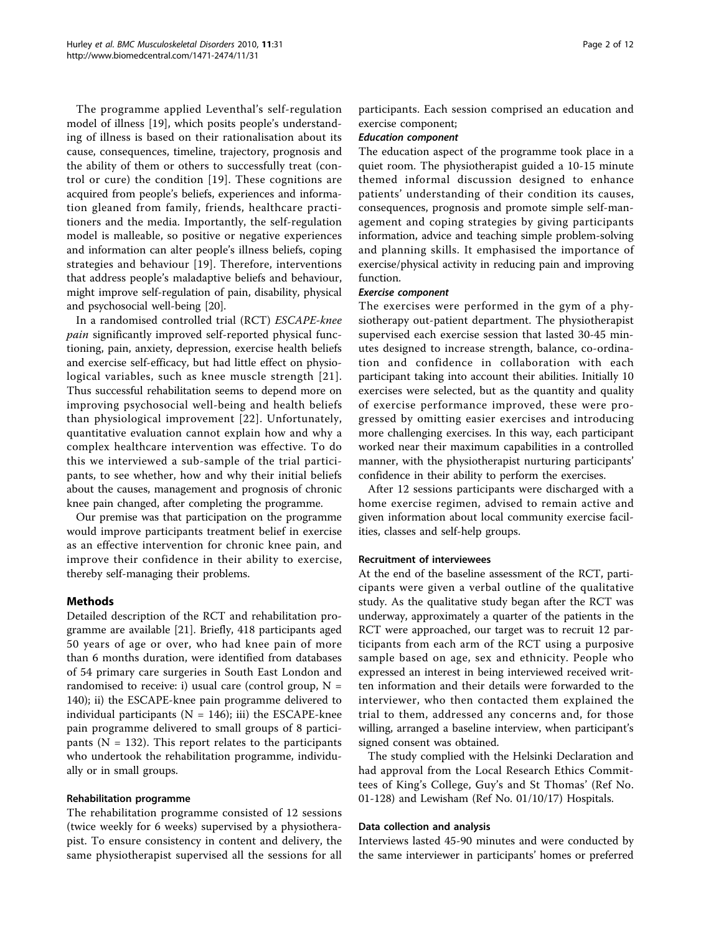The programme applied Leventhal's self-regulation model of illness [\[19](#page-10-0)], which posits people's understanding of illness is based on their rationalisation about its cause, consequences, timeline, trajectory, prognosis and the ability of them or others to successfully treat (control or cure) the condition [[19](#page-10-0)]. These cognitions are acquired from people's beliefs, experiences and information gleaned from family, friends, healthcare practitioners and the media. Importantly, the self-regulation model is malleable, so positive or negative experiences and information can alter people's illness beliefs, coping strategies and behaviour [[19\]](#page-10-0). Therefore, interventions that address people's maladaptive beliefs and behaviour, might improve self-regulation of pain, disability, physical and psychosocial well-being [\[20\]](#page-10-0).

In a randomised controlled trial (RCT) ESCAPE-knee pain significantly improved self-reported physical functioning, pain, anxiety, depression, exercise health beliefs and exercise self-efficacy, but had little effect on physiological variables, such as knee muscle strength [[21\]](#page-10-0). Thus successful rehabilitation seems to depend more on improving psychosocial well-being and health beliefs than physiological improvement [[22](#page-10-0)]. Unfortunately, quantitative evaluation cannot explain how and why a complex healthcare intervention was effective. To do this we interviewed a sub-sample of the trial participants, to see whether, how and why their initial beliefs about the causes, management and prognosis of chronic knee pain changed, after completing the programme.

Our premise was that participation on the programme would improve participants treatment belief in exercise as an effective intervention for chronic knee pain, and improve their confidence in their ability to exercise, thereby self-managing their problems.

## Methods

Detailed description of the RCT and rehabilitation programme are available [\[21](#page-10-0)]. Briefly, 418 participants aged 50 years of age or over, who had knee pain of more than 6 months duration, were identified from databases of 54 primary care surgeries in South East London and randomised to receive: i) usual care (control group,  $N =$ 140); ii) the ESCAPE-knee pain programme delivered to individual participants ( $N = 146$ ); iii) the ESCAPE-knee pain programme delivered to small groups of 8 participants ( $N = 132$ ). This report relates to the participants who undertook the rehabilitation programme, individually or in small groups.

## Rehabilitation programme

The rehabilitation programme consisted of 12 sessions (twice weekly for 6 weeks) supervised by a physiotherapist. To ensure consistency in content and delivery, the same physiotherapist supervised all the sessions for all participants. Each session comprised an education and exercise component;

## Education component

The education aspect of the programme took place in a quiet room. The physiotherapist guided a 10-15 minute themed informal discussion designed to enhance patients' understanding of their condition its causes, consequences, prognosis and promote simple self-management and coping strategies by giving participants information, advice and teaching simple problem-solving and planning skills. It emphasised the importance of exercise/physical activity in reducing pain and improving function.

#### Exercise component

The exercises were performed in the gym of a physiotherapy out-patient department. The physiotherapist supervised each exercise session that lasted 30-45 minutes designed to increase strength, balance, co-ordination and confidence in collaboration with each participant taking into account their abilities. Initially 10 exercises were selected, but as the quantity and quality of exercise performance improved, these were progressed by omitting easier exercises and introducing more challenging exercises. In this way, each participant worked near their maximum capabilities in a controlled manner, with the physiotherapist nurturing participants' confidence in their ability to perform the exercises.

After 12 sessions participants were discharged with a home exercise regimen, advised to remain active and given information about local community exercise facilities, classes and self-help groups.

#### Recruitment of interviewees

At the end of the baseline assessment of the RCT, participants were given a verbal outline of the qualitative study. As the qualitative study began after the RCT was underway, approximately a quarter of the patients in the RCT were approached, our target was to recruit 12 participants from each arm of the RCT using a purposive sample based on age, sex and ethnicity. People who expressed an interest in being interviewed received written information and their details were forwarded to the interviewer, who then contacted them explained the trial to them, addressed any concerns and, for those willing, arranged a baseline interview, when participant's signed consent was obtained.

The study complied with the Helsinki Declaration and had approval from the Local Research Ethics Committees of King's College, Guy's and St Thomas' (Ref No. 01-128) and Lewisham (Ref No. 01/10/17) Hospitals.

#### Data collection and analysis

Interviews lasted 45-90 minutes and were conducted by the same interviewer in participants' homes or preferred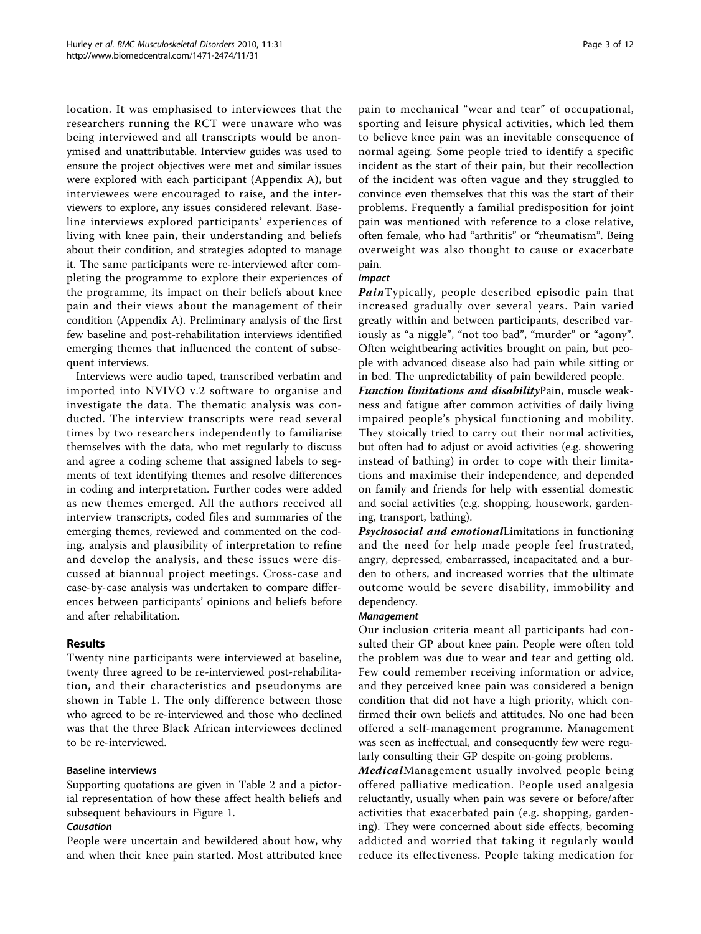location. It was emphasised to interviewees that the researchers running the RCT were unaware who was being interviewed and all transcripts would be anonymised and unattributable. Interview guides was used to ensure the project objectives were met and similar issues were explored with each participant (Appendix A), but interviewees were encouraged to raise, and the interviewers to explore, any issues considered relevant. Baseline interviews explored participants' experiences of living with knee pain, their understanding and beliefs about their condition, and strategies adopted to manage it. The same participants were re-interviewed after completing the programme to explore their experiences of the programme, its impact on their beliefs about knee pain and their views about the management of their condition (Appendix A). Preliminary analysis of the first few baseline and post-rehabilitation interviews identified emerging themes that influenced the content of subsequent interviews.

Interviews were audio taped, transcribed verbatim and imported into NVIVO v.2 software to organise and investigate the data. The thematic analysis was conducted. The interview transcripts were read several times by two researchers independently to familiarise themselves with the data, who met regularly to discuss and agree a coding scheme that assigned labels to segments of text identifying themes and resolve differences in coding and interpretation. Further codes were added as new themes emerged. All the authors received all interview transcripts, coded files and summaries of the emerging themes, reviewed and commented on the coding, analysis and plausibility of interpretation to refine and develop the analysis, and these issues were discussed at biannual project meetings. Cross-case and case-by-case analysis was undertaken to compare differences between participants' opinions and beliefs before and after rehabilitation.

## Results

Twenty nine participants were interviewed at baseline, twenty three agreed to be re-interviewed post-rehabilitation, and their characteristics and pseudonyms are shown in Table [1](#page-3-0). The only difference between those who agreed to be re-interviewed and those who declined was that the three Black African interviewees declined to be re-interviewed.

#### Baseline interviews

Supporting quotations are given in Table [2](#page-4-0) and a pictorial representation of how these affect health beliefs and subsequent behaviours in Figure [1.](#page-5-0)

#### Causation

People were uncertain and bewildered about how, why and when their knee pain started. Most attributed knee pain to mechanical "wear and tear" of occupational, sporting and leisure physical activities, which led them to believe knee pain was an inevitable consequence of normal ageing. Some people tried to identify a specific incident as the start of their pain, but their recollection of the incident was often vague and they struggled to convince even themselves that this was the start of their problems. Frequently a familial predisposition for joint pain was mentioned with reference to a close relative, often female, who had "arthritis" or "rheumatism". Being overweight was also thought to cause or exacerbate pain.

## Impact

**Pain**Typically, people described episodic pain that increased gradually over several years. Pain varied greatly within and between participants, described variously as "a niggle", "not too bad", "murder" or "agony". Often weightbearing activities brought on pain, but people with advanced disease also had pain while sitting or in bed. The unpredictability of pain bewildered people.

Function limitations and disabilityPain, muscle weakness and fatigue after common activities of daily living impaired people's physical functioning and mobility. They stoically tried to carry out their normal activities, but often had to adjust or avoid activities (e.g. showering instead of bathing) in order to cope with their limitations and maximise their independence, and depended on family and friends for help with essential domestic and social activities (e.g. shopping, housework, gardening, transport, bathing).

Psychosocial and emotionalLimitations in functioning and the need for help made people feel frustrated, angry, depressed, embarrassed, incapacitated and a burden to others, and increased worries that the ultimate outcome would be severe disability, immobility and dependency.

## Management

Our inclusion criteria meant all participants had consulted their GP about knee pain. People were often told the problem was due to wear and tear and getting old. Few could remember receiving information or advice, and they perceived knee pain was considered a benign condition that did not have a high priority, which confirmed their own beliefs and attitudes. No one had been offered a self-management programme. Management was seen as ineffectual, and consequently few were regularly consulting their GP despite on-going problems.

MedicalManagement usually involved people being offered palliative medication. People used analgesia reluctantly, usually when pain was severe or before/after activities that exacerbated pain (e.g. shopping, gardening). They were concerned about side effects, becoming addicted and worried that taking it regularly would reduce its effectiveness. People taking medication for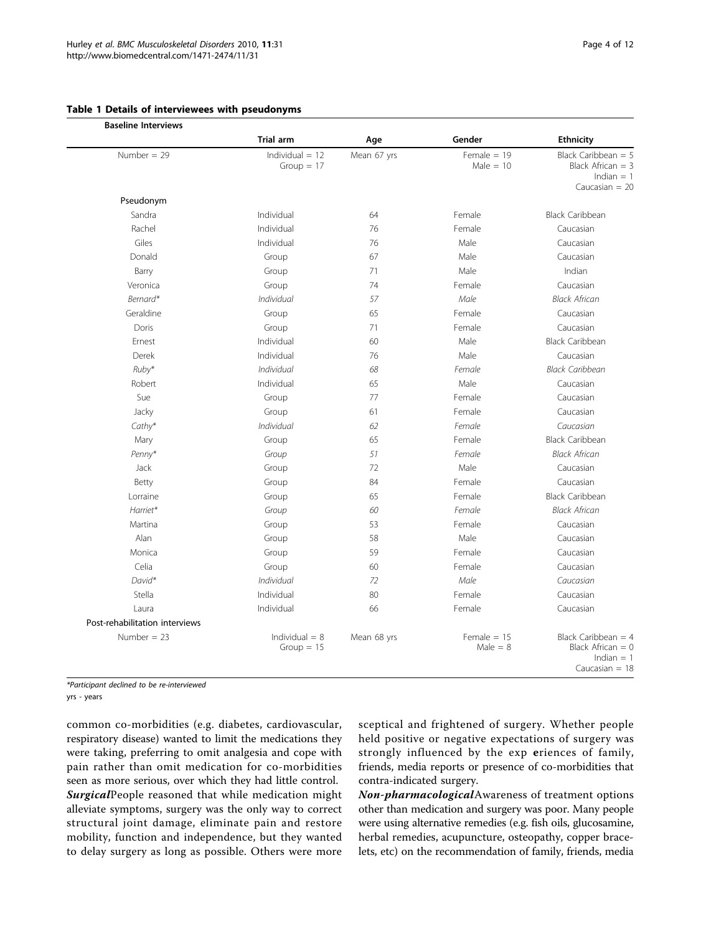| <b>Baseline Interviews</b>     |                                   |             |                              |                                                                                  |
|--------------------------------|-----------------------------------|-------------|------------------------------|----------------------------------------------------------------------------------|
|                                | <b>Trial arm</b>                  | Age         | Gender                       | <b>Ethnicity</b>                                                                 |
| Number = $29$                  | Individual $= 12$<br>$Group = 17$ | Mean 67 yrs | Female $= 19$<br>$Male = 10$ | Black Caribbean $= 5$<br>Black African $=$ 3<br>Indian $= 1$<br>Caucasian $= 20$ |
| Pseudonym                      |                                   |             |                              |                                                                                  |
| Sandra                         | Individual                        | 64          | Female                       | <b>Black Caribbean</b>                                                           |
| Rachel                         | Individual                        | 76          | Female                       | Caucasian                                                                        |
| Giles                          | Individual                        | 76          | Male                         | Caucasian                                                                        |
| Donald                         | Group                             | 67          | Male                         | Caucasian                                                                        |
| Barry                          | Group                             | 71          | Male                         | Indian                                                                           |
| Veronica                       | Group                             | 74          | Female                       | Caucasian                                                                        |
| Bernard*                       | Individual                        | 57          | Male                         | <b>Black African</b>                                                             |
| Geraldine                      | Group                             | 65          | Female                       | Caucasian                                                                        |
| Doris                          | Group                             | 71          | Female                       | Caucasian                                                                        |
| Ernest                         | Individual                        | 60          | Male                         | <b>Black Caribbean</b>                                                           |
| Derek                          | Individual                        | 76          | Male                         | Caucasian                                                                        |
| Ruby*                          | Individual                        | 68          | Female                       | <b>Black Caribbean</b>                                                           |
| Robert                         | Individual                        | 65          | Male                         | Caucasian                                                                        |
| Sue                            | Group                             | 77          | Female                       | Caucasian                                                                        |
| Jacky                          | Group                             | 61          | Female                       | Caucasian                                                                        |
| Cathy*                         | Individual                        | 62          | Female                       | Caucasian                                                                        |
| Mary                           | Group                             | 65          | Female                       | <b>Black Caribbean</b>                                                           |
| Penny*                         | Group                             | 51          | Female                       | <b>Black African</b>                                                             |
| Jack                           | Group                             | 72          | Male                         | Caucasian                                                                        |
| Betty                          | Group                             | 84          | Female                       | Caucasian                                                                        |
| Lorraine                       | Group                             | 65          | Female                       | <b>Black Caribbean</b>                                                           |
| Harriet*                       | Group                             | 60          | Female                       | <b>Black African</b>                                                             |
| Martina                        | Group                             | 53          | Female                       | Caucasian                                                                        |
| Alan                           | Group                             | 58          | Male                         | Caucasian                                                                        |
| Monica                         | Group                             | 59          | Female                       | Caucasian                                                                        |
| Celia                          | Group                             | 60          | Female                       | Caucasian                                                                        |
| David*                         | Individual                        | 72          | Male                         | Caucasian                                                                        |
| Stella                         | Individual                        | 80          | Female                       | Caucasian                                                                        |
| Laura                          | Individual                        | 66          | Female                       | Caucasian                                                                        |
| Post-rehabilitation interviews |                                   |             |                              |                                                                                  |
| Number $= 23$                  | Individual $= 8$<br>$Group = 15$  | Mean 68 yrs | Female $= 15$<br>$Male = 8$  | Black Caribbean = $4$<br>Black African $= 0$<br>Indian $= 1$<br>$Cauchan = 18$   |

#### <span id="page-3-0"></span>Table 1 Details of interviewees with pseudonyms

\*Participant declined to be re-interviewed

yrs - years

common co-morbidities (e.g. diabetes, cardiovascular, respiratory disease) wanted to limit the medications they were taking, preferring to omit analgesia and cope with pain rather than omit medication for co-morbidities seen as more serious, over which they had little control. SurgicalPeople reasoned that while medication might alleviate symptoms, surgery was the only way to correct structural joint damage, eliminate pain and restore mobility, function and independence, but they wanted to delay surgery as long as possible. Others were more sceptical and frightened of surgery. Whether people held positive or negative expectations of surgery was strongly influenced by the exp eriences of family, friends, media reports or presence of co-morbidities that contra-indicated surgery.

Non-pharmacologicalAwareness of treatment options other than medication and surgery was poor. Many people were using alternative remedies (e.g. fish oils, glucosamine, herbal remedies, acupuncture, osteopathy, copper bracelets, etc) on the recommendation of family, friends, media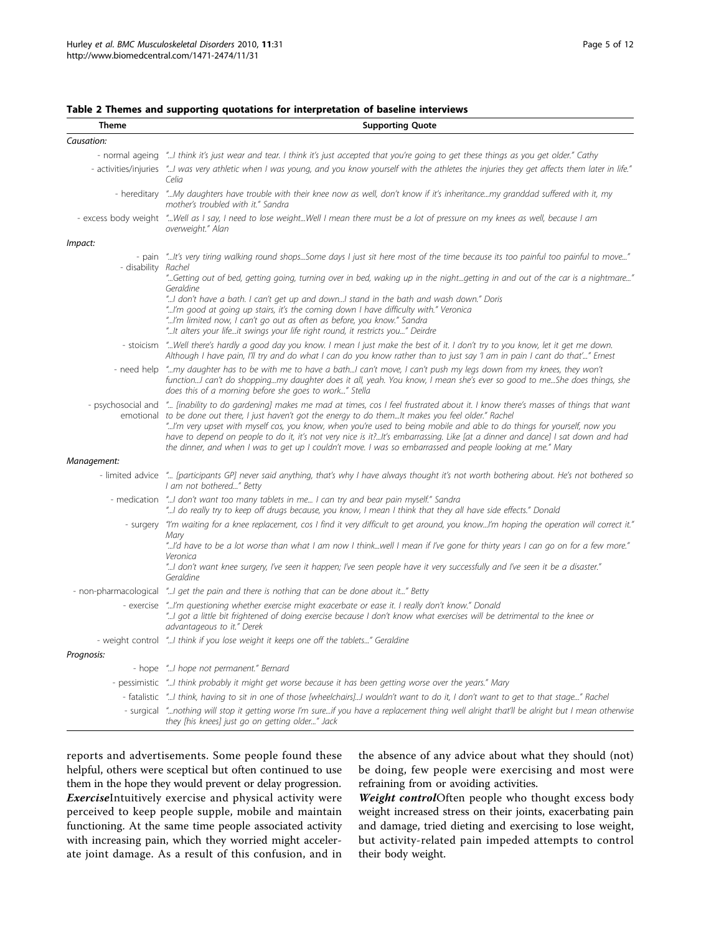| <b>Theme</b>        | <b>Supporting Quote</b>                                                                                                                                                                                                                                                                                                                                                                                                                                                                                                                                                                                                                  |
|---------------------|------------------------------------------------------------------------------------------------------------------------------------------------------------------------------------------------------------------------------------------------------------------------------------------------------------------------------------------------------------------------------------------------------------------------------------------------------------------------------------------------------------------------------------------------------------------------------------------------------------------------------------------|
| Causation:          |                                                                                                                                                                                                                                                                                                                                                                                                                                                                                                                                                                                                                                          |
|                     | - normal ageing "I think it's just wear and tear. I think it's just accepted that you're going to get these things as you get older." Cathy                                                                                                                                                                                                                                                                                                                                                                                                                                                                                              |
|                     | - activities/injuries "! was very athletic when I was young, and you know yourself with the athletes the injuries they get affects them later in life."<br>Celia                                                                                                                                                                                                                                                                                                                                                                                                                                                                         |
|                     | - hereditary "My daughters have trouble with their knee now as well, don't know if it's inheritancemy granddad suffered with it, my<br>mother's troubled with it." Sandra                                                                                                                                                                                                                                                                                                                                                                                                                                                                |
|                     | - excess body weight "Well as I say, I need to lose weightWell I mean there must be a lot of pressure on my knees as well, because I am<br>overweight." Alan                                                                                                                                                                                                                                                                                                                                                                                                                                                                             |
| Impact:             |                                                                                                                                                                                                                                                                                                                                                                                                                                                                                                                                                                                                                                          |
| - disability Rachel | - pain "lt's very tiring walking round shopsSome days I just sit here most of the time because its too painful too painful to move"<br>"Getting out of bed, getting going, turning over in bed, waking up in the nightgetting in and out of the car is a nightmare"<br>Geraldine<br>"I don't have a bath. I can't get up and downI stand in the bath and wash down." Doris                                                                                                                                                                                                                                                               |
|                     | "I'm good at going up stairs, it's the coming down I have difficulty with." Veronica<br>"I'm limited now, I can't go out as often as before, you know." Sandra<br>"It alters your lifeit swings your life right round, it restricts you" Deirdre                                                                                                                                                                                                                                                                                                                                                                                         |
|                     | - stoicism "Well there's hardly a good day you know. I mean I just make the best of it. I don't try to you know, let it get me down.<br>Although I have pain, I'll try and do what I can do you know rather than to just say 'I am in pain I cant do that'" Ernest                                                                                                                                                                                                                                                                                                                                                                       |
|                     | - need help "my daughter has to be with me to have a bathI can't move, I can't push my legs down from my knees, they won't<br>functionI can't do shoppingmy daughter does it all, yeah. You know, I mean she's ever so good to meShe does things, she<br>does this of a morning before she goes to work" Stella                                                                                                                                                                                                                                                                                                                          |
|                     | - psychosocial and " [inability to do gardening] makes me mad at times, cos I feel frustrated about it. I know there's masses of things that want<br>emotional to be done out there, I just haven't got the energy to do themIt makes you feel older." Rachel<br>"I'm very upset with myself cos, you know, when you're used to being mobile and able to do things for yourself, now you<br>have to depend on people to do it, it's not very nice is it?It's embarrassing. Like [at a dinner and dance] I sat down and had<br>the dinner, and when I was to get up I couldn't move. I was so embarrassed and people looking at me." Mary |
| Management:         |                                                                                                                                                                                                                                                                                                                                                                                                                                                                                                                                                                                                                                          |
|                     | - limited advice " [participants GP] never said anything, that's why I have always thought it's not worth bothering about. He's not bothered so<br>I am not bothered" Betty                                                                                                                                                                                                                                                                                                                                                                                                                                                              |
|                     | - medication "! don't want too many tablets in me I can try and bear pain myself." Sandra<br>"I do really try to keep off drugs because, you know, I mean I think that they all have side effects." Donald                                                                                                                                                                                                                                                                                                                                                                                                                               |
|                     | - surgery "I'm waiting for a knee replacement, cos I find it very difficult to get around, you knowI'm hoping the operation will correct it."                                                                                                                                                                                                                                                                                                                                                                                                                                                                                            |
|                     | Mary<br>"I'd have to be a lot worse than what I am now I thinkwell I mean if I've gone for thirty years I can go on for a few more."<br>Veronica<br>"I don't want knee surgery, I've seen it happen; I've seen people have it very successfully and I've seen it be a disaster."<br>Geraldine                                                                                                                                                                                                                                                                                                                                            |
|                     | - non-pharmacological " I get the pain and there is nothing that can be done about it" Betty                                                                                                                                                                                                                                                                                                                                                                                                                                                                                                                                             |
|                     | - exercise "I'm questioning whether exercise might exacerbate or ease it. I really don't know." Donald<br>"I got a little bit frightened of doing exercise because I don't know what exercises will be detrimental to the knee or<br>advantageous to it." Derek                                                                                                                                                                                                                                                                                                                                                                          |
|                     | - weight control "I think if you lose weight it keeps one off the tablets" Geraldine                                                                                                                                                                                                                                                                                                                                                                                                                                                                                                                                                     |
| Prognosis:          |                                                                                                                                                                                                                                                                                                                                                                                                                                                                                                                                                                                                                                          |
|                     | - hope "I hope not permanent." Bernard                                                                                                                                                                                                                                                                                                                                                                                                                                                                                                                                                                                                   |
|                     | - pessimistic "I think probably it might get worse because it has been getting worse over the years." Mary                                                                                                                                                                                                                                                                                                                                                                                                                                                                                                                               |
|                     | - fatalistic "! think, having to sit in one of those [wheelchairs]! wouldn't want to do it, I don't want to get to that stage" Rachel                                                                                                                                                                                                                                                                                                                                                                                                                                                                                                    |
|                     | - surgical "nothing will stop it getting worse I'm sureif you have a replacement thing well alright that'll be alright but I mean otherwise<br>they [his knees] just go on getting older" Jack                                                                                                                                                                                                                                                                                                                                                                                                                                           |

### <span id="page-4-0"></span>Table 2 Themes and supporting quotations for interpretation of baseline interviews

reports and advertisements. Some people found these helpful, others were sceptical but often continued to use them in the hope they would prevent or delay progression. ExerciseIntuitively exercise and physical activity were perceived to keep people supple, mobile and maintain functioning. At the same time people associated activity with increasing pain, which they worried might accelerate joint damage. As a result of this confusion, and in

the absence of any advice about what they should (not) be doing, few people were exercising and most were refraining from or avoiding activities.

Weight controlOften people who thought excess body weight increased stress on their joints, exacerbating pain and damage, tried dieting and exercising to lose weight, but activity-related pain impeded attempts to control their body weight.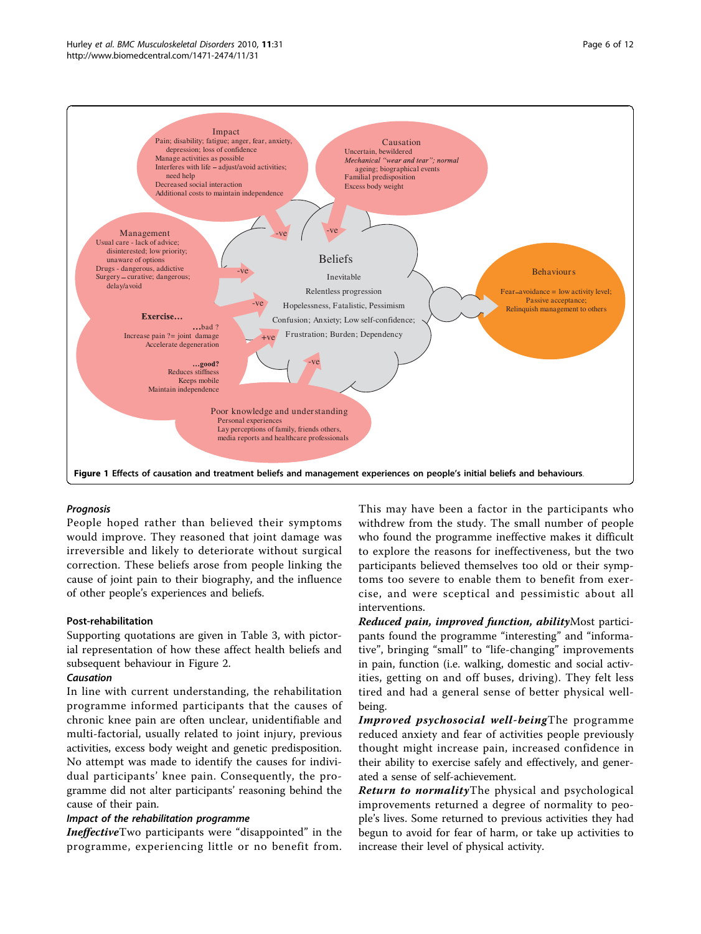#### <span id="page-5-0"></span>Hurley et al. BMC Musculoskeletal Disorders 2010, 11:31 http://www.biomedcentral.com/1471-2474/11/31



## Prognosis

People hoped rather than believed their symptoms would improve. They reasoned that joint damage was irreversible and likely to deteriorate without surgical correction. These beliefs arose from people linking the cause of joint pain to their biography, and the influence of other people's experiences and beliefs.

#### Post-rehabilitation

Supporting quotations are given in Table [3,](#page-6-0) with pictorial representation of how these affect health beliefs and subsequent behaviour in Figure [2.](#page-7-0)

#### Causation

In line with current understanding, the rehabilitation programme informed participants that the causes of chronic knee pain are often unclear, unidentifiable and multi-factorial, usually related to joint injury, previous activities, excess body weight and genetic predisposition. No attempt was made to identify the causes for individual participants' knee pain. Consequently, the programme did not alter participants' reasoning behind the cause of their pain.

## Impact of the rehabilitation programme

IneffectiveTwo participants were "disappointed" in the programme, experiencing little or no benefit from.

This may have been a factor in the participants who withdrew from the study. The small number of people who found the programme ineffective makes it difficult to explore the reasons for ineffectiveness, but the two participants believed themselves too old or their symptoms too severe to enable them to benefit from exercise, and were sceptical and pessimistic about all interventions.

Reduced pain, improved function, abilityMost participants found the programme "interesting" and "informative", bringing "small" to "life-changing" improvements in pain, function (i.e. walking, domestic and social activities, getting on and off buses, driving). They felt less tired and had a general sense of better physical wellbeing.

Improved psychosocial well-beingThe programme reduced anxiety and fear of activities people previously thought might increase pain, increased confidence in their ability to exercise safely and effectively, and generated a sense of self-achievement.

Return to normality The physical and psychological improvements returned a degree of normality to people's lives. Some returned to previous activities they had begun to avoid for fear of harm, or take up activities to increase their level of physical activity.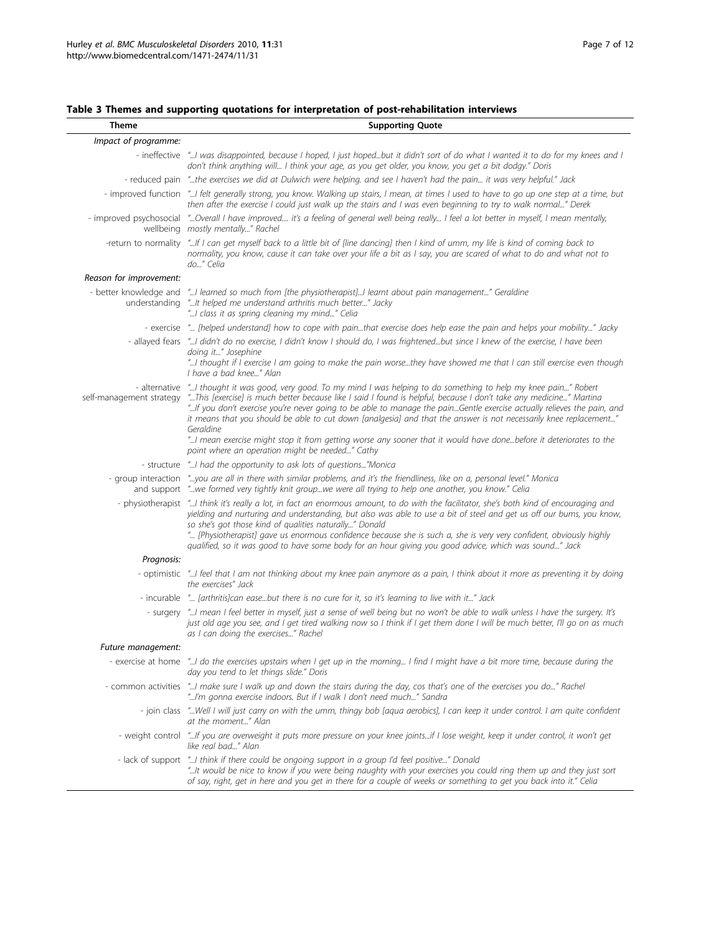| <b>Theme</b>                            | <b>Supporting Quote</b>                                                                                                                                                                                                                                                                                                                                                                                                                                                                                                                                    |
|-----------------------------------------|------------------------------------------------------------------------------------------------------------------------------------------------------------------------------------------------------------------------------------------------------------------------------------------------------------------------------------------------------------------------------------------------------------------------------------------------------------------------------------------------------------------------------------------------------------|
| Impact of programme:                    |                                                                                                                                                                                                                                                                                                                                                                                                                                                                                                                                                            |
| - ineffective                           | "I was disappointed, because I hoped, I just hopedbut it didn't sort of do what I wanted it to do for my knees and I<br>don't think anything will I think your age, as you get older, you know, you get a bit dodgy." Doris                                                                                                                                                                                                                                                                                                                                |
|                                         | - reduced pain "the exercises we did at Dulwich were helping, and see I haven't had the pain it was very helpful." Jack                                                                                                                                                                                                                                                                                                                                                                                                                                    |
|                                         | - improved function "I felt generally strong, you know. Walking up stairs, I mean, at times I used to have to go up one step at a time, but<br>then after the exercise I could just walk up the stairs and I was even beginning to try to walk normal" Derek                                                                                                                                                                                                                                                                                               |
|                                         | - improved psychosocial "Overall I have improved it's a feeling of general well being really I feel a lot better in myself, I mean mentally,<br>wellbeing mostly mentally" Rachel                                                                                                                                                                                                                                                                                                                                                                          |
|                                         | -return to normality "If I can get myself back to a little bit of [line dancing] then I kind of umm, my life is kind of coming back to<br>normality, you know, cause it can take over your life a bit as I say, you are scared of what to do and what not to<br>do" Celia                                                                                                                                                                                                                                                                                  |
| Reason for improvement:                 |                                                                                                                                                                                                                                                                                                                                                                                                                                                                                                                                                            |
| - better knowledge and<br>understanding | "I learned so much from [the physiotherapist]I learnt about pain management" Geraldine<br>" It helped me understand arthritis much better" Jacky<br>"I class it as spring cleaning my mind" Celia                                                                                                                                                                                                                                                                                                                                                          |
|                                         | - exercise " [helped understand] how to cope with painthat exercise does help ease the pain and helps your mobility" Jacky                                                                                                                                                                                                                                                                                                                                                                                                                                 |
|                                         | - allayed fears " I didn't do no exercise, I didn't know I should do, I was frightenedbut since I knew of the exercise, I have been<br>doing it" Josephine<br>"I thought if I exercise I am going to make the pain worsethey have showed me that I can still exercise even though                                                                                                                                                                                                                                                                          |
|                                         | I have a bad knee" Alan                                                                                                                                                                                                                                                                                                                                                                                                                                                                                                                                    |
|                                         | - alternative "I thought it was good, very good. To my mind I was helping to do something to help my knee pain" Robert<br>self-management strategy "This [exercise] is much better because like I said I found is helpful, because I don't take any medicine" Martina<br>"If you don't exercise you're never going to be able to manage the painGentle exercise actually relieves the pain, and<br>it means that you should be able to cut down [analgesia] and that the answer is not necessarily knee replacement"<br>Geraldine                          |
|                                         | ! mean exercise might stop it from getting worse any sooner that it would have donebefore it deteriorates to the<br>point where an operation might be needed" Cathy                                                                                                                                                                                                                                                                                                                                                                                        |
|                                         | - structure " I had the opportunity to ask lots of questions"Monica                                                                                                                                                                                                                                                                                                                                                                                                                                                                                        |
|                                         | - group interaction "you are all in there with similar problems, and it's the friendliness, like on a, personal level." Monica<br>and support "we formed very tightly knit groupwe were all trying to help one another, you know." Celia                                                                                                                                                                                                                                                                                                                   |
|                                         | - physiotherapist "! think it's really a lot, in fact an enormous amount, to do with the facilitator, she's both kind of encouraging and<br>yielding and nurturing and understanding, but also was able to use a bit of steel and get us off our bums, you know,<br>so she's got those kind of qualities naturally" Donald<br>" [Physiotherapist] gave us enormous confidence because she is such a, she is very very confident, obviously highly<br>qualified, so it was good to have some body for an hour giving you good advice, which was sound" Jack |
| Prognosis:                              |                                                                                                                                                                                                                                                                                                                                                                                                                                                                                                                                                            |
|                                         | - optimistic "I feel that I am not thinking about my knee pain anymore as a pain, I think about it more as preventing it by doing<br>the exercises" Jack                                                                                                                                                                                                                                                                                                                                                                                                   |
|                                         | - incurable " [arthritis]can easebut there is no cure for it, so it's learning to live with it" Jack                                                                                                                                                                                                                                                                                                                                                                                                                                                       |
|                                         | - surgery " I mean I feel better in myself, just a sense of well being but no won't be able to walk unless I have the surgery. It's<br>just old age you see, and I get tired walking now so I think if I get them done I will be much better, I'll go on as much<br>as I can doing the exercises" Rachel                                                                                                                                                                                                                                                   |
| Future management:                      |                                                                                                                                                                                                                                                                                                                                                                                                                                                                                                                                                            |
|                                         | - exercise at home "! do the exercises upstairs when I get up in the morning I find I might have a bit more time, because during the<br>day you tend to let things slide." Doris                                                                                                                                                                                                                                                                                                                                                                           |
|                                         | - common activities "I make sure I walk up and down the stairs during the day, cos that's one of the exercises you do" Rachel<br>"I'm gonna exercise indoors. But if I walk I don't need much" Sandra                                                                                                                                                                                                                                                                                                                                                      |
|                                         | - join class "Well I will just carry on with the umm, thingy bob [aqua aerobics], I can keep it under control. I am quite confident<br>at the moment" Alan                                                                                                                                                                                                                                                                                                                                                                                                 |
|                                         | - weight control "If you are overweight it puts more pressure on your knee jointsif I lose weight, keep it under control, it won't get<br>like real bad" Alan                                                                                                                                                                                                                                                                                                                                                                                              |
|                                         | - lack of support "! think if there could be ongoing support in a group I'd feel positive" Donald                                                                                                                                                                                                                                                                                                                                                                                                                                                          |

"...It would be nice to know if you were being naughty with your exercises you could ring them up and they just sort of say, right, get in here and you get in there for a couple of weeks or something to get you back into it." Celia

## <span id="page-6-0"></span>Table 3 Themes and supporting quotations for interpretation of post-rehabilitation interviews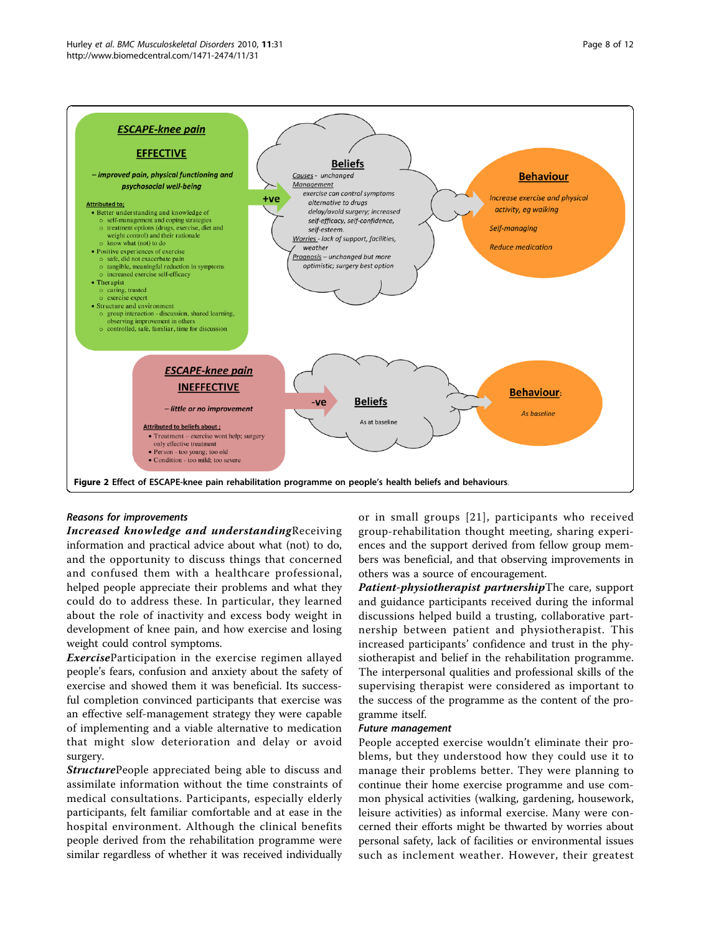<span id="page-7-0"></span>

## Reasons for improvements

Increased knowledge and understandingReceiving information and practical advice about what (not) to do, and the opportunity to discuss things that concerned and confused them with a healthcare professional, helped people appreciate their problems and what they could do to address these. In particular, they learned about the role of inactivity and excess body weight in development of knee pain, and how exercise and losing weight could control symptoms.

ExerciseParticipation in the exercise regimen allayed people's fears, confusion and anxiety about the safety of exercise and showed them it was beneficial. Its successful completion convinced participants that exercise was an effective self-management strategy they were capable of implementing and a viable alternative to medication that might slow deterioration and delay or avoid surgery.

**StructurePeople appreciated being able to discuss and** assimilate information without the time constraints of medical consultations. Participants, especially elderly participants, felt familiar comfortable and at ease in the hospital environment. Although the clinical benefits people derived from the rehabilitation programme were similar regardless of whether it was received individually

or in small groups [[21](#page-10-0)], participants who received group-rehabilitation thought meeting, sharing experiences and the support derived from fellow group members was beneficial, and that observing improvements in others was a source of encouragement.

Patient-physiotherapist partnershipThe care, support and guidance participants received during the informal discussions helped build a trusting, collaborative partnership between patient and physiotherapist. This increased participants' confidence and trust in the physiotherapist and belief in the rehabilitation programme. The interpersonal qualities and professional skills of the supervising therapist were considered as important to the success of the programme as the content of the programme itself.

#### Future management

People accepted exercise wouldn't eliminate their problems, but they understood how they could use it to manage their problems better. They were planning to continue their home exercise programme and use common physical activities (walking, gardening, housework, leisure activities) as informal exercise. Many were concerned their efforts might be thwarted by worries about personal safety, lack of facilities or environmental issues such as inclement weather. However, their greatest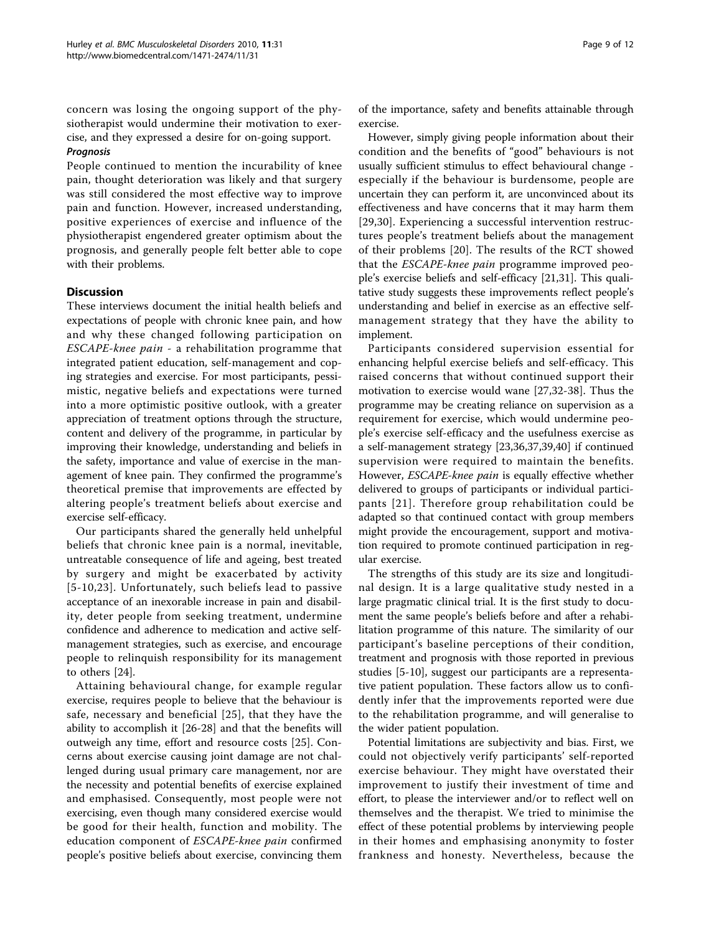concern was losing the ongoing support of the physiotherapist would undermine their motivation to exercise, and they expressed a desire for on-going support. Prognosis

People continued to mention the incurability of knee pain, thought deterioration was likely and that surgery was still considered the most effective way to improve pain and function. However, increased understanding, positive experiences of exercise and influence of the physiotherapist engendered greater optimism about the prognosis, and generally people felt better able to cope with their problems.

## **Discussion**

These interviews document the initial health beliefs and expectations of people with chronic knee pain, and how and why these changed following participation on ESCAPE-knee pain - a rehabilitation programme that integrated patient education, self-management and coping strategies and exercise. For most participants, pessimistic, negative beliefs and expectations were turned into a more optimistic positive outlook, with a greater appreciation of treatment options through the structure, content and delivery of the programme, in particular by improving their knowledge, understanding and beliefs in the safety, importance and value of exercise in the management of knee pain. They confirmed the programme's theoretical premise that improvements are effected by altering people's treatment beliefs about exercise and exercise self-efficacy.

Our participants shared the generally held unhelpful beliefs that chronic knee pain is a normal, inevitable, untreatable consequence of life and ageing, best treated by surgery and might be exacerbated by activity [[5-10,23\]](#page-10-0). Unfortunately, such beliefs lead to passive acceptance of an inexorable increase in pain and disability, deter people from seeking treatment, undermine confidence and adherence to medication and active selfmanagement strategies, such as exercise, and encourage people to relinquish responsibility for its management to others [[24\]](#page-10-0).

Attaining behavioural change, for example regular exercise, requires people to believe that the behaviour is safe, necessary and beneficial [[25\]](#page-10-0), that they have the ability to accomplish it [[26](#page-10-0)-[28\]](#page-10-0) and that the benefits will outweigh any time, effort and resource costs [[25\]](#page-10-0). Concerns about exercise causing joint damage are not challenged during usual primary care management, nor are the necessity and potential benefits of exercise explained and emphasised. Consequently, most people were not exercising, even though many considered exercise would be good for their health, function and mobility. The education component of ESCAPE-knee pain confirmed people's positive beliefs about exercise, convincing them Page 9 of 12

of the importance, safety and benefits attainable through exercise.

However, simply giving people information about their condition and the benefits of "good" behaviours is not usually sufficient stimulus to effect behavioural change especially if the behaviour is burdensome, people are uncertain they can perform it, are unconvinced about its effectiveness and have concerns that it may harm them [[29,30](#page-10-0)]. Experiencing a successful intervention restructures people's treatment beliefs about the management of their problems [[20\]](#page-10-0). The results of the RCT showed that the ESCAPE-knee pain programme improved people's exercise beliefs and self-efficacy [\[21,31\]](#page-10-0). This qualitative study suggests these improvements reflect people's understanding and belief in exercise as an effective selfmanagement strategy that they have the ability to implement.

Participants considered supervision essential for enhancing helpful exercise beliefs and self-efficacy. This raised concerns that without continued support their motivation to exercise would wane [[27,32-](#page-10-0)[38](#page-11-0)]. Thus the programme may be creating reliance on supervision as a requirement for exercise, which would undermine people's exercise self-efficacy and the usefulness exercise as a self-management strategy [\[23,36,37](#page-10-0)[,39,40](#page-11-0)] if continued supervision were required to maintain the benefits. However, ESCAPE-knee pain is equally effective whether delivered to groups of participants or individual participants [[21](#page-10-0)]. Therefore group rehabilitation could be adapted so that continued contact with group members might provide the encouragement, support and motivation required to promote continued participation in regular exercise.

The strengths of this study are its size and longitudinal design. It is a large qualitative study nested in a large pragmatic clinical trial. It is the first study to document the same people's beliefs before and after a rehabilitation programme of this nature. The similarity of our participant's baseline perceptions of their condition, treatment and prognosis with those reported in previous studies [[5](#page-10-0)-[10\]](#page-10-0), suggest our participants are a representative patient population. These factors allow us to confidently infer that the improvements reported were due to the rehabilitation programme, and will generalise to the wider patient population.

Potential limitations are subjectivity and bias. First, we could not objectively verify participants' self-reported exercise behaviour. They might have overstated their improvement to justify their investment of time and effort, to please the interviewer and/or to reflect well on themselves and the therapist. We tried to minimise the effect of these potential problems by interviewing people in their homes and emphasising anonymity to foster frankness and honesty. Nevertheless, because the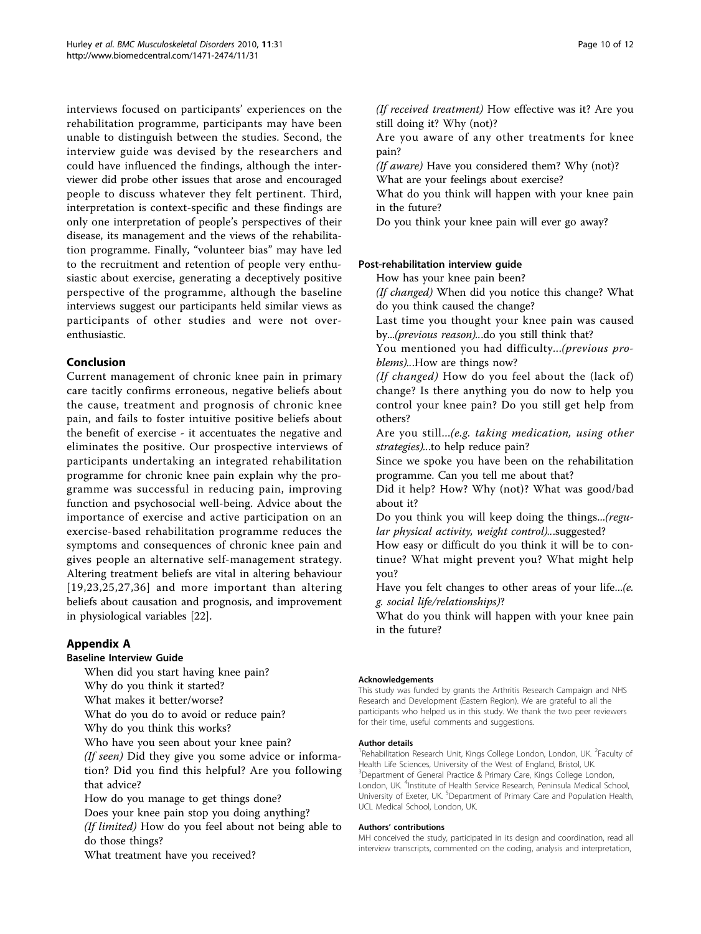interviews focused on participants' experiences on the rehabilitation programme, participants may have been unable to distinguish between the studies. Second, the interview guide was devised by the researchers and could have influenced the findings, although the interviewer did probe other issues that arose and encouraged people to discuss whatever they felt pertinent. Third, interpretation is context-specific and these findings are only one interpretation of people's perspectives of their disease, its management and the views of the rehabilitation programme. Finally, "volunteer bias" may have led to the recruitment and retention of people very enthusiastic about exercise, generating a deceptively positive perspective of the programme, although the baseline interviews suggest our participants held similar views as participants of other studies and were not overenthusiastic.

## Conclusion

Current management of chronic knee pain in primary care tacitly confirms erroneous, negative beliefs about the cause, treatment and prognosis of chronic knee pain, and fails to foster intuitive positive beliefs about the benefit of exercise - it accentuates the negative and eliminates the positive. Our prospective interviews of participants undertaking an integrated rehabilitation programme for chronic knee pain explain why the programme was successful in reducing pain, improving function and psychosocial well-being. Advice about the importance of exercise and active participation on an exercise-based rehabilitation programme reduces the symptoms and consequences of chronic knee pain and gives people an alternative self-management strategy. Altering treatment beliefs are vital in altering behaviour [[19](#page-10-0),[23](#page-10-0),[25,27](#page-10-0),[36](#page-10-0)] and more important than altering beliefs about causation and prognosis, and improvement in physiological variables [\[22\]](#page-10-0).

## Appendix A

## Baseline Interview Guide

When did you start having knee pain? Why do you think it started? What makes it better/worse? What do you do to avoid or reduce pain? Why do you think this works? Who have you seen about your knee pain? (If seen) Did they give you some advice or information? Did you find this helpful? Are you following that advice? How do you manage to get things done? Does your knee pain stop you doing anything? (If limited) How do you feel about not being able to do those things? What treatment have you received?

(If received treatment) How effective was it? Are you still doing it? Why (not)?

Are you aware of any other treatments for knee pain?

(If aware) Have you considered them? Why (not)?

What are your feelings about exercise?

What do you think will happen with your knee pain in the future?

Do you think your knee pain will ever go away?

## Post-rehabilitation interview guide

How has your knee pain been?

(If changed) When did you notice this change? What do you think caused the change?

Last time you thought your knee pain was caused by...(previous reason)...do you still think that?

You mentioned you had difficulty...(previous problems)...How are things now?

(If changed) How do you feel about the (lack of) change? Is there anything you do now to help you control your knee pain? Do you still get help from others?

Are you still...(e.g. taking medication, using other strategies)...to help reduce pain?

Since we spoke you have been on the rehabilitation programme. Can you tell me about that?

Did it help? How? Why (not)? What was good/bad about it?

Do you think you will keep doing the things...(regular physical activity, weight control)...suggested?

How easy or difficult do you think it will be to continue? What might prevent you? What might help you?

Have you felt changes to other areas of your life...(e. g. social life/relationships)?

What do you think will happen with your knee pain in the future?

#### Acknowledgements

This study was funded by grants the Arthritis Research Campaign and NHS Research and Development (Eastern Region). We are grateful to all the participants who helped us in this study. We thank the two peer reviewers for their time, useful comments and suggestions.

#### Author details

<sup>1</sup>Rehabilitation Research Unit, Kings College London, London, UK. <sup>2</sup>Faculty of Health Life Sciences, University of the West of England, Bristol, UK. <sup>3</sup>Department of General Practice & Primary Care, Kings College London, London, UK. <sup>4</sup>Institute of Health Service Research, Peninsula Medical School, University of Exeter, UK. <sup>5</sup>Department of Primary Care and Population Health UCL Medical School, London, UK.

#### Authors' contributions

MH conceived the study, participated in its design and coordination, read all interview transcripts, commented on the coding, analysis and interpretation,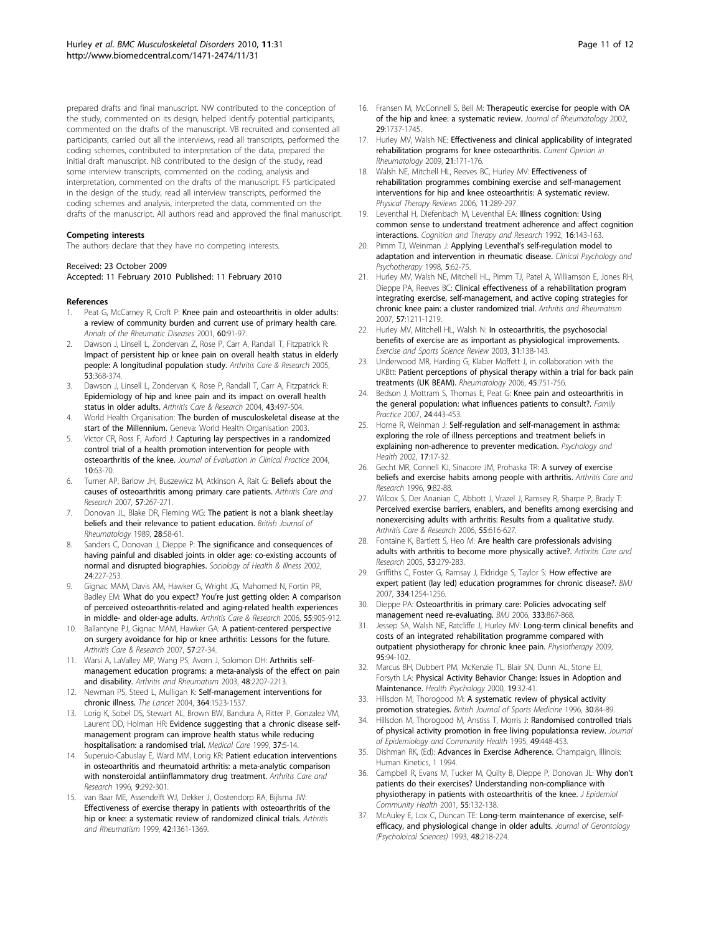<span id="page-10-0"></span>prepared drafts and final manuscript. NW contributed to the conception of the study, commented on its design, helped identify potential participants, commented on the drafts of the manuscript. VB recruited and consented all participants, carried out all the interviews, read all transcripts, performed the coding schemes, contributed to interpretation of the data, prepared the initial draft manuscript. NB contributed to the design of the study, read some interview transcripts, commented on the coding, analysis and interpretation, commented on the drafts of the manuscript. FS participated in the design of the study, read all interview transcripts, performed the coding schemes and analysis, interpreted the data, commented on the drafts of the manuscript. All authors read and approved the final manuscript.

#### Competing interests

The authors declare that they have no competing interests.

## Received: 23 October 2009

#### Accepted: 11 February 2010 Published: 11 February 2010

#### References

- 1. Peat G, McCarney R, Croft P: [Knee pain and osteoarthritis in older adults:](http://www.ncbi.nlm.nih.gov/pubmed/11156538?dopt=Abstract) [a review of community burden and current use of primary health care.](http://www.ncbi.nlm.nih.gov/pubmed/11156538?dopt=Abstract) Annals of the Rheumatic Diseases 2001, 60:91-97.
- 2. Dawson J, Linsell L, Zondervan Z, Rose P, Carr A, Randall T, Fitzpatrick R: Impact of persistent hip or knee pain on overall health status in elderly people: A longitudinal population study. Arthritis Care & Research 2005, 53:368-374.
- 3. Dawson J, Linsell L, Zondervan K, Rose P, Randall T, Carr A, Fitzpatrick R: Epidemiology of hip and knee pain and its impact on overall health status in older adults. Arthritis Care & Research 2004, 43:497-504.
- 4. World Health Organisation: The burden of musculoskeletal disease at the start of the Millennium. Geneva: World Health Organisation 2003.
- 5. Victor CR, Ross F, Axford J: [Capturing lay perspectives in a randomized](http://www.ncbi.nlm.nih.gov/pubmed/14731152?dopt=Abstract) [control trial of a health promotion intervention for people with](http://www.ncbi.nlm.nih.gov/pubmed/14731152?dopt=Abstract) [osteoarthritis of the knee.](http://www.ncbi.nlm.nih.gov/pubmed/14731152?dopt=Abstract) Journal of Evaluation in Clinical Practice 2004, 10:63-70.
- 6. Turner AP, Barlow JH, Buszewicz M, Atkinson A, Rait G: [Beliefs about the](http://www.ncbi.nlm.nih.gov/pubmed/17330306?dopt=Abstract) [causes of osteoarthritis among primary care patients.](http://www.ncbi.nlm.nih.gov/pubmed/17330306?dopt=Abstract) Arthritis Care and Research 2007, 57:267-271.
- 7. Donovan JL, Blake DR, Fleming WG: The patient is not a blank sheet: lay [beliefs and their relevance to patient education.](http://www.ncbi.nlm.nih.gov/pubmed/2917230?dopt=Abstract) British Journal of Rheumatology 1989, 28:58-61.
- Sanders C, Donovan J, Dieppe P: The significance and consequences of having painful and disabled joints in older age: co-existing accounts of normal and disrupted biographies. Sociology of Health & Illness 2002, 24:227-253.
- 9. Gignac MAM, Davis AM, Hawker G, Wright JG, Mahomed N, Fortin PR, Badley EM: What do you expect? You're just getting older: A comparison of perceived osteoarthritis-related and aging-related health experiences in middle- and older-age adults. Arthritis Care & Research 2006, 55:905-912.
- 10. Ballantyne PJ, Gignac MAM, Hawker GA: A patient-centered perspective on surgery avoidance for hip or knee arthritis: Lessons for the future. Arthritis Care & Research 2007, 57:27-34.
- 11. Warsi A, LaValley MP, Wang PS, Avorn J, Solomon DH: [Arthritis self](http://www.ncbi.nlm.nih.gov/pubmed/12905474?dopt=Abstract)[management education programs: a meta-analysis of the effect on pain](http://www.ncbi.nlm.nih.gov/pubmed/12905474?dopt=Abstract) [and disability.](http://www.ncbi.nlm.nih.gov/pubmed/12905474?dopt=Abstract) Arthritis and Rheumatism 2003, 48:2207-2213.
- 12. Newman PS, Steed L, Mulligan K: Self-management interventions for chronic illness. The Lancet 2004, 364:1523-1537.
- 13. Lorig K, Sobel DS, Stewart AL, Brown BW, Bandura A, Ritter P, Gonzalez VM, Laurent DD, Holman HR: [Evidence suggesting that a chronic disease self](http://www.ncbi.nlm.nih.gov/pubmed/10413387?dopt=Abstract)[management program can improve health status while reducing](http://www.ncbi.nlm.nih.gov/pubmed/10413387?dopt=Abstract) [hospitalisation: a randomised trial.](http://www.ncbi.nlm.nih.gov/pubmed/10413387?dopt=Abstract) Medical Care 1999, 37:5-14.
- 14. Superuio-Cabuslay E, Ward MM, Lorig KR: [Patient education interventions](http://www.ncbi.nlm.nih.gov/pubmed/8997918?dopt=Abstract) [in osteoarthritis and rheumatoid arthritis: a meta-analytic comparison](http://www.ncbi.nlm.nih.gov/pubmed/8997918?dopt=Abstract) [with nonsteroidal antiinflammatory drug treatment.](http://www.ncbi.nlm.nih.gov/pubmed/8997918?dopt=Abstract) Arthritis Care and Research 1996, 9:292-301.
- 15. van Baar ME, Assendelft WJ, Dekker J, Oostendorp RA, Bijlsma JW: [Effectiveness of exercise therapy in patients with osteoarthritis of the](http://www.ncbi.nlm.nih.gov/pubmed/10403263?dopt=Abstract) [hip or knee: a systematic review of randomized clinical trials.](http://www.ncbi.nlm.nih.gov/pubmed/10403263?dopt=Abstract) Arthritis and Rheumatism 1999, 42:1361-1369.
- 16. Fransen M, McConnell S, Bell M: [Therapeutic exercise for people with OA](http://www.ncbi.nlm.nih.gov/pubmed/12180738?dopt=Abstract) [of the hip and knee: a systematic review.](http://www.ncbi.nlm.nih.gov/pubmed/12180738?dopt=Abstract) Journal of Rheumatology 2002, 29:1737-1745.
- 17. Hurley MV, Walsh NE: [Effectiveness and clinical applicability of integrated](http://www.ncbi.nlm.nih.gov/pubmed/19339929?dopt=Abstract) [rehabilitation programs for knee osteoarthritis.](http://www.ncbi.nlm.nih.gov/pubmed/19339929?dopt=Abstract) Current Opinion in Rheumatology 2009, 21:171-176.
- 18. Walsh NE, Mitchell HL, Reeves BC, Hurley MV: Effectiveness of rehabilitation programmes combining exercise and self-management interventions for hip and knee osteoarthritis: A systematic review. Physical Therapy Reviews 2006, 11:289-297.
- 19. Leventhal H, Diefenbach M, Leventhal EA: Illness cognition: Using common sense to understand treatment adherence and affect cognition interactions. Cognition and Therapy and Research 1992, 16:143-163.
- 20. Pimm TJ, Weinman J: Applying Leventhal's self-regulation model to adaptation and intervention in rheumatic disease. Clinical Psychology and Psychotherapy 1998, 5:62-75.
- 21. Hurley MV, Walsh NE, Mitchell HL, Pimm TJ, Patel A, Williamson E, Jones RH, Dieppe PA, Reeves BC: [Clinical effectiveness of a rehabilitation program](http://www.ncbi.nlm.nih.gov/pubmed/17907147?dopt=Abstract) [integrating exercise, self-management, and active coping strategies for](http://www.ncbi.nlm.nih.gov/pubmed/17907147?dopt=Abstract) [chronic knee pain: a cluster randomized trial.](http://www.ncbi.nlm.nih.gov/pubmed/17907147?dopt=Abstract) Arthritis and Rheumatism 2007, 57:1211-1219.
- 22. Hurley MV, Mitchell HL, Walsh N: In osteoarthritis, the psychosocial benefits of exercise are as important as physiological improvements. Exercise and Sports Science Review 2003, 31:138-143.
- 23. Underwood MR, Harding G, Klaber Moffett J, in collaboration with the UKBtt: [Patient perceptions of physical therapy within a trial for back pain](http://www.ncbi.nlm.nih.gov/pubmed/16418201?dopt=Abstract) [treatments \(UK BEAM\).](http://www.ncbi.nlm.nih.gov/pubmed/16418201?dopt=Abstract) Rheumatology 2006, 45:751-756.
- 24. Bedson J, Mottram S, Thomas E, Peat G: [Knee pain and osteoarthritis in](http://www.ncbi.nlm.nih.gov/pubmed/17675657?dopt=Abstract) [the general population: what influences patients to consult?.](http://www.ncbi.nlm.nih.gov/pubmed/17675657?dopt=Abstract) Family Practice 2007, 24:443-453.
- 25. Horne R, Weinman J: Self-regulation and self-management in asthma: exploring the role of illness perceptions and treatment beliefs in explaining non-adherence to preventer medication. Psychology and Health 2002, 17:17-32.
- 26. Gecht MR, Connell KJ, Sinacore JM, Prohaska TR: A survey of exercise beliefs and exercise habits among people with arthritis. Arthritis Care and Research 1996, 9:82-88.
- 27. Wilcox S, Der Ananian C, Abbott J, Vrazel J, Ramsey R, Sharpe P, Brady T: Perceived exercise barriers, enablers, and benefits among exercising and nonexercising adults with arthritis: Results from a qualitative study. Arthritis Care & Research 2006, 55:616-627.
- 28. Fontaine K, Bartlett S, Heo M: [Are health care professionals advising](http://www.ncbi.nlm.nih.gov/pubmed/15818656?dopt=Abstract) [adults with arthritis to become more physically active?.](http://www.ncbi.nlm.nih.gov/pubmed/15818656?dopt=Abstract) Arthritis Care and Research 2005, 53:279-283.
- 29. Griffiths C, Foster G, Ramsay J, Eldridge S, Taylor S: [How effective are](http://www.ncbi.nlm.nih.gov/pubmed/17569933?dopt=Abstract) [expert patient \(lay led\) education programmes for chronic disease?.](http://www.ncbi.nlm.nih.gov/pubmed/17569933?dopt=Abstract) BMJ 2007, 334:1254-1256.
- 30. Dieppe PA: [Osteoarthritis in primary care: Policies advocating self](http://www.ncbi.nlm.nih.gov/pubmed/17068015?dopt=Abstract) [management need re-evaluating.](http://www.ncbi.nlm.nih.gov/pubmed/17068015?dopt=Abstract) BMJ 2006, 333:867-868.
- 31. Jessep SA, Walsh NE, Ratcliffe J, Hurley MV: [Long-term clinical benefits and](http://www.ncbi.nlm.nih.gov/pubmed/19627690?dopt=Abstract) [costs of an integrated rehabilitation programme compared with](http://www.ncbi.nlm.nih.gov/pubmed/19627690?dopt=Abstract) [outpatient physiotherapy for chronic knee pain.](http://www.ncbi.nlm.nih.gov/pubmed/19627690?dopt=Abstract) Physiotherapy 2009, 95:94-102.
- 32. Marcus BH, Dubbert PM, McKenzie TL, Blair SN, Dunn AL, Stone EJ, Forsyth LA: [Physical Activity Behavior Change: Issues in Adoption and](http://www.ncbi.nlm.nih.gov/pubmed/10709946?dopt=Abstract) [Maintenance.](http://www.ncbi.nlm.nih.gov/pubmed/10709946?dopt=Abstract) Health Psychology 2000, 19:32-41.
- 33. Hillsdon M, Thorogood M: [A systematic review of physical activity](http://www.ncbi.nlm.nih.gov/pubmed/8799589?dopt=Abstract) [promotion strategies.](http://www.ncbi.nlm.nih.gov/pubmed/8799589?dopt=Abstract) British Journal of Sports Medicine 1996, 30:84-89.
- 34. Hillsdon M, Thorogood M, Anstiss T, Morris J: [Randomised controlled trials](http://www.ncbi.nlm.nih.gov/pubmed/7499985?dopt=Abstract) [of physical activity promotion in free living populations:a review.](http://www.ncbi.nlm.nih.gov/pubmed/7499985?dopt=Abstract) Journal of Epidemiology and Community Health 1995, 49:448-453.
- 35. Dishman RK, (Ed): Advances in Exercise Adherence. Champaign, Illinois: Human Kinetics, 1 1994.
- 36. Campbell R, Evans M, Tucker M, Quilty B, Dieppe P, Donovan JL: [Why don](http://www.ncbi.nlm.nih.gov/pubmed/11154253?dopt=Abstract)'t [patients do their exercises? Understanding non-compliance with](http://www.ncbi.nlm.nih.gov/pubmed/11154253?dopt=Abstract) [physiotherapy in patients with osteoarthritis of the knee.](http://www.ncbi.nlm.nih.gov/pubmed/11154253?dopt=Abstract) J Epidemiol Community Health 2001, 55:132-138.
- 37. McAuley E, Lox C, Duncan TE: Long-term maintenance of exercise, selfefficacy, and physiological change in older adults. Journal of Gerontology (Psycholoical Sciences) 1993, 48:218-224.